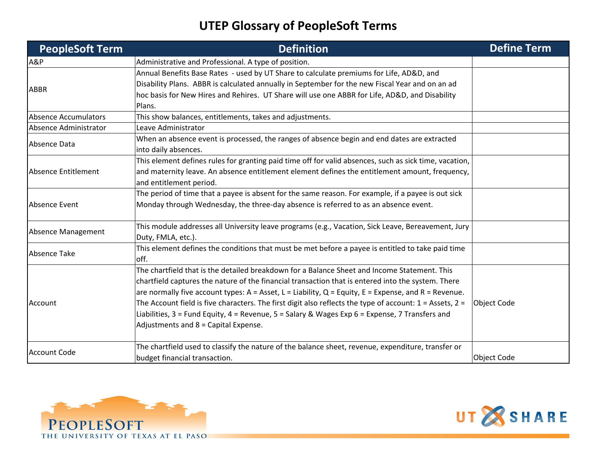| <b>PeopleSoft Term</b>      | <b>Definition</b>                                                                                                                                                                                                                                                                                                                                                                                                                                                                                                                                                                      | <b>Define Term</b> |
|-----------------------------|----------------------------------------------------------------------------------------------------------------------------------------------------------------------------------------------------------------------------------------------------------------------------------------------------------------------------------------------------------------------------------------------------------------------------------------------------------------------------------------------------------------------------------------------------------------------------------------|--------------------|
| A&P                         | Administrative and Professional. A type of position.                                                                                                                                                                                                                                                                                                                                                                                                                                                                                                                                   |                    |
| <b>ABBR</b>                 | Annual Benefits Base Rates - used by UT Share to calculate premiums for Life, AD&D, and<br>Disability Plans. ABBR is calculated annually in September for the new Fiscal Year and on an ad<br>hoc basis for New Hires and Rehires. UT Share will use one ABBR for Life, AD&D, and Disability<br>Plans.                                                                                                                                                                                                                                                                                 |                    |
| <b>Absence Accumulators</b> | This show balances, entitlements, takes and adjustments.                                                                                                                                                                                                                                                                                                                                                                                                                                                                                                                               |                    |
| Absence Administrator       | Leave Administrator                                                                                                                                                                                                                                                                                                                                                                                                                                                                                                                                                                    |                    |
| Absence Data                | When an absence event is processed, the ranges of absence begin and end dates are extracted<br>into daily absences.                                                                                                                                                                                                                                                                                                                                                                                                                                                                    |                    |
| Absence Entitlement         | This element defines rules for granting paid time off for valid absences, such as sick time, vacation,<br>and maternity leave. An absence entitlement element defines the entitlement amount, frequency,<br>and entitlement period.                                                                                                                                                                                                                                                                                                                                                    |                    |
| Absence Event               | The period of time that a payee is absent for the same reason. For example, if a payee is out sick<br>Monday through Wednesday, the three-day absence is referred to as an absence event.                                                                                                                                                                                                                                                                                                                                                                                              |                    |
| Absence Management          | This module addresses all University leave programs (e.g., Vacation, Sick Leave, Bereavement, Jury<br>Duty, FMLA, etc.).                                                                                                                                                                                                                                                                                                                                                                                                                                                               |                    |
| <b>Absence Take</b>         | This element defines the conditions that must be met before a payee is entitled to take paid time<br>off.                                                                                                                                                                                                                                                                                                                                                                                                                                                                              |                    |
| Account                     | The chartfield that is the detailed breakdown for a Balance Sheet and Income Statement. This<br>chartfield captures the nature of the financial transaction that is entered into the system. There<br>are normally five account types: $A = Asset$ , $L = Liability$ , $Q = Equity$ , $E = Expression$ , and $R = Revenue$ .<br>The Account field is five characters. The first digit also reflects the type of account: $1 =$ Assets, $2 =$<br>Liabilities, 3 = Fund Equity, 4 = Revenue, 5 = Salary & Wages Exp 6 = Expense, 7 Transfers and<br>Adjustments and 8 = Capital Expense. | <b>Object Code</b> |
| <b>Account Code</b>         | The chartfield used to classify the nature of the balance sheet, revenue, expenditure, transfer or<br>budget financial transaction.                                                                                                                                                                                                                                                                                                                                                                                                                                                    | <b>Object Code</b> |



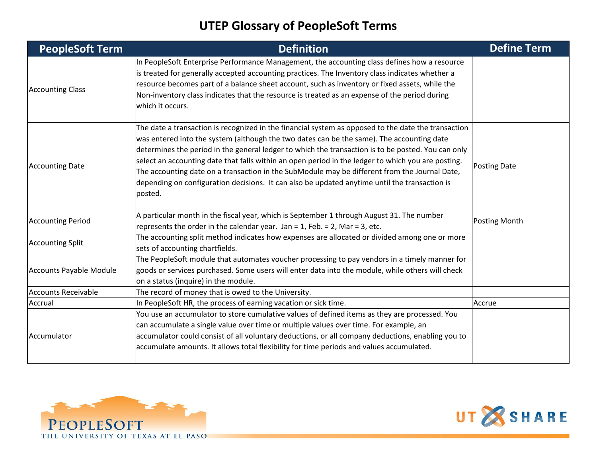| <b>PeopleSoft Term</b>     | <b>Definition</b>                                                                                                                                                                                                                                                                                                                                                                                                                                                                                                                                                                                                         | <b>Define Term</b>   |
|----------------------------|---------------------------------------------------------------------------------------------------------------------------------------------------------------------------------------------------------------------------------------------------------------------------------------------------------------------------------------------------------------------------------------------------------------------------------------------------------------------------------------------------------------------------------------------------------------------------------------------------------------------------|----------------------|
| <b>Accounting Class</b>    | In PeopleSoft Enterprise Performance Management, the accounting class defines how a resource<br>is treated for generally accepted accounting practices. The Inventory class indicates whether a<br>resource becomes part of a balance sheet account, such as inventory or fixed assets, while the<br>Non-inventory class indicates that the resource is treated as an expense of the period during<br>which it occurs.                                                                                                                                                                                                    |                      |
| <b>Accounting Date</b>     | The date a transaction is recognized in the financial system as opposed to the date the transaction<br>was entered into the system (although the two dates can be the same). The accounting date<br>determines the period in the general ledger to which the transaction is to be posted. You can only<br>select an accounting date that falls within an open period in the ledger to which you are posting.<br>The accounting date on a transaction in the SubModule may be different from the Journal Date,<br>depending on configuration decisions. It can also be updated anytime until the transaction is<br>posted. | <b>Posting Date</b>  |
| <b>Accounting Period</b>   | A particular month in the fiscal year, which is September 1 through August 31. The number<br>represents the order in the calendar year. Jan = 1, Feb. = 2, Mar = 3, etc.                                                                                                                                                                                                                                                                                                                                                                                                                                                  | <b>Posting Month</b> |
| <b>Accounting Split</b>    | The accounting split method indicates how expenses are allocated or divided among one or more<br>sets of accounting chartfields.                                                                                                                                                                                                                                                                                                                                                                                                                                                                                          |                      |
| Accounts Payable Module    | The PeopleSoft module that automates voucher processing to pay vendors in a timely manner for<br>goods or services purchased. Some users will enter data into the module, while others will check<br>on a status (inquire) in the module.                                                                                                                                                                                                                                                                                                                                                                                 |                      |
| <b>Accounts Receivable</b> | The record of money that is owed to the University.                                                                                                                                                                                                                                                                                                                                                                                                                                                                                                                                                                       |                      |
| Accrual                    | In PeopleSoft HR, the process of earning vacation or sick time.                                                                                                                                                                                                                                                                                                                                                                                                                                                                                                                                                           | Accrue               |
| Accumulator                | You use an accumulator to store cumulative values of defined items as they are processed. You<br>can accumulate a single value over time or multiple values over time. For example, an<br>accumulator could consist of all voluntary deductions, or all company deductions, enabling you to<br>accumulate amounts. It allows total flexibility for time periods and values accumulated.                                                                                                                                                                                                                                   |                      |



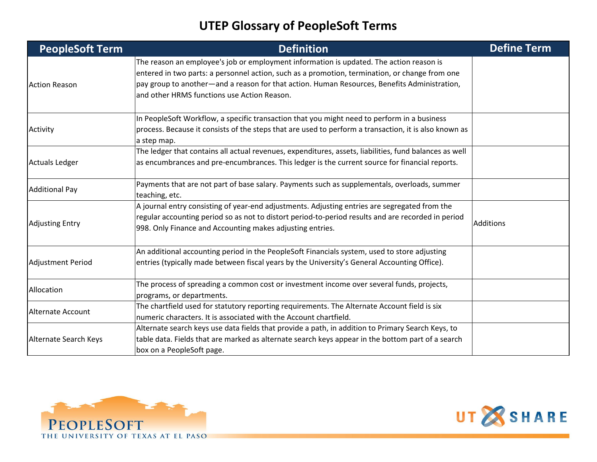| <b>PeopleSoft Term</b>   | <b>Definition</b>                                                                                                                                                                                   | <b>Define Term</b> |
|--------------------------|-----------------------------------------------------------------------------------------------------------------------------------------------------------------------------------------------------|--------------------|
|                          | The reason an employee's job or employment information is updated. The action reason is<br>entered in two parts: a personnel action, such as a promotion, termination, or change from one           |                    |
| <b>Action Reason</b>     | pay group to another—and a reason for that action. Human Resources, Benefits Administration,<br>and other HRMS functions use Action Reason.                                                         |                    |
|                          | In PeopleSoft Workflow, a specific transaction that you might need to perform in a business                                                                                                         |                    |
| Activity                 | process. Because it consists of the steps that are used to perform a transaction, it is also known as<br>a step map.                                                                                |                    |
|                          | The ledger that contains all actual revenues, expenditures, assets, liabilities, fund balances as well                                                                                              |                    |
| <b>Actuals Ledger</b>    | as encumbrances and pre-encumbrances. This ledger is the current source for financial reports.                                                                                                      |                    |
| <b>Additional Pay</b>    | Payments that are not part of base salary. Payments such as supplementals, overloads, summer<br>teaching, etc.                                                                                      |                    |
|                          | A journal entry consisting of year-end adjustments. Adjusting entries are segregated from the<br>regular accounting period so as not to distort period-to-period results and are recorded in period |                    |
| <b>Adjusting Entry</b>   | 998. Only Finance and Accounting makes adjusting entries.                                                                                                                                           | Additions          |
|                          | An additional accounting period in the PeopleSoft Financials system, used to store adjusting                                                                                                        |                    |
| <b>Adjustment Period</b> | entries (typically made between fiscal years by the University's General Accounting Office).                                                                                                        |                    |
| Allocation               | The process of spreading a common cost or investment income over several funds, projects,<br>programs, or departments.                                                                              |                    |
|                          | The chartfield used for statutory reporting requirements. The Alternate Account field is six                                                                                                        |                    |
| <b>Alternate Account</b> | numeric characters. It is associated with the Account chartfield.                                                                                                                                   |                    |
|                          | Alternate search keys use data fields that provide a path, in addition to Primary Search Keys, to                                                                                                   |                    |
| Alternate Search Keys    | table data. Fields that are marked as alternate search keys appear in the bottom part of a search                                                                                                   |                    |
|                          | box on a PeopleSoft page.                                                                                                                                                                           |                    |



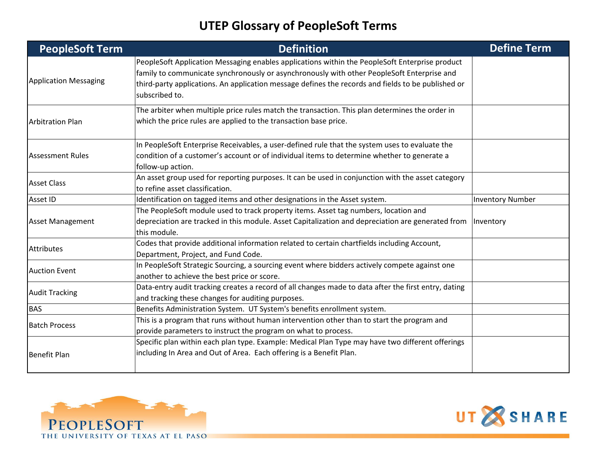| <b>PeopleSoft Term</b>       | <b>Definition</b>                                                                                                                                                                                                                                                                                                    | <b>Define Term</b>      |
|------------------------------|----------------------------------------------------------------------------------------------------------------------------------------------------------------------------------------------------------------------------------------------------------------------------------------------------------------------|-------------------------|
| <b>Application Messaging</b> | PeopleSoft Application Messaging enables applications within the PeopleSoft Enterprise product<br>family to communicate synchronously or asynchronously with other PeopleSoft Enterprise and<br>third-party applications. An application message defines the records and fields to be published or<br>subscribed to. |                         |
| <b>Arbitration Plan</b>      | The arbiter when multiple price rules match the transaction. This plan determines the order in<br>which the price rules are applied to the transaction base price.                                                                                                                                                   |                         |
| <b>Assessment Rules</b>      | In PeopleSoft Enterprise Receivables, a user-defined rule that the system uses to evaluate the<br>condition of a customer's account or of individual items to determine whether to generate a<br>follow-up action.                                                                                                   |                         |
| <b>Asset Class</b>           | An asset group used for reporting purposes. It can be used in conjunction with the asset category<br>to refine asset classification.                                                                                                                                                                                 |                         |
| Asset ID                     | Identification on tagged items and other designations in the Asset system.                                                                                                                                                                                                                                           | <b>Inventory Number</b> |
| <b>Asset Management</b>      | The PeopleSoft module used to track property items. Asset tag numbers, location and<br>depreciation are tracked in this module. Asset Capitalization and depreciation are generated from<br>this module.                                                                                                             | Inventory               |
| <b>Attributes</b>            | Codes that provide additional information related to certain chartfields including Account,<br>Department, Project, and Fund Code.                                                                                                                                                                                   |                         |
| <b>Auction Event</b>         | In PeopleSoft Strategic Sourcing, a sourcing event where bidders actively compete against one<br>another to achieve the best price or score.                                                                                                                                                                         |                         |
| <b>Audit Tracking</b>        | Data-entry audit tracking creates a record of all changes made to data after the first entry, dating<br>and tracking these changes for auditing purposes.                                                                                                                                                            |                         |
| <b>BAS</b>                   | Benefits Administration System. UT System's benefits enrollment system.                                                                                                                                                                                                                                              |                         |
| <b>Batch Process</b>         | This is a program that runs without human intervention other than to start the program and<br>provide parameters to instruct the program on what to process.                                                                                                                                                         |                         |
| <b>Benefit Plan</b>          | Specific plan within each plan type. Example: Medical Plan Type may have two different offerings<br>including In Area and Out of Area. Each offering is a Benefit Plan.                                                                                                                                              |                         |



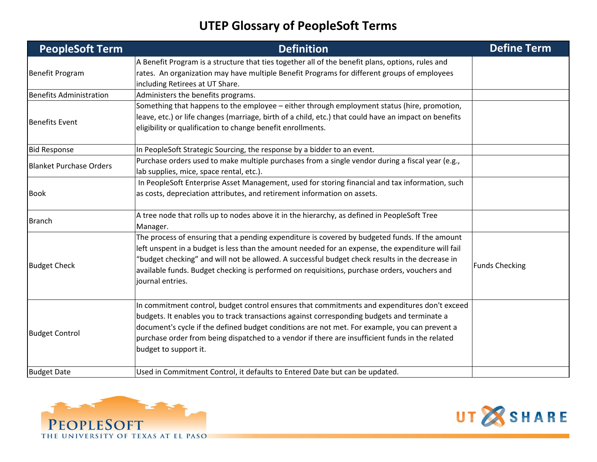| <b>PeopleSoft Term</b>         | <b>Definition</b>                                                                                                                                                                                                                                                                                                                                                                                                          | <b>Define Term</b>    |
|--------------------------------|----------------------------------------------------------------------------------------------------------------------------------------------------------------------------------------------------------------------------------------------------------------------------------------------------------------------------------------------------------------------------------------------------------------------------|-----------------------|
| <b>Benefit Program</b>         | A Benefit Program is a structure that ties together all of the benefit plans, options, rules and<br>rates. An organization may have multiple Benefit Programs for different groups of employees                                                                                                                                                                                                                            |                       |
| <b>Benefits Administration</b> | including Retirees at UT Share.<br>Administers the benefits programs.                                                                                                                                                                                                                                                                                                                                                      |                       |
| <b>Benefits Event</b>          | Something that happens to the employee - either through employment status (hire, promotion,<br>leave, etc.) or life changes (marriage, birth of a child, etc.) that could have an impact on benefits<br>eligibility or qualification to change benefit enrollments.                                                                                                                                                        |                       |
| <b>Bid Response</b>            | In PeopleSoft Strategic Sourcing, the response by a bidder to an event.                                                                                                                                                                                                                                                                                                                                                    |                       |
| <b>Blanket Purchase Orders</b> | Purchase orders used to make multiple purchases from a single vendor during a fiscal year (e.g.,<br>lab supplies, mice, space rental, etc.).                                                                                                                                                                                                                                                                               |                       |
| <b>Book</b>                    | In PeopleSoft Enterprise Asset Management, used for storing financial and tax information, such<br>as costs, depreciation attributes, and retirement information on assets.                                                                                                                                                                                                                                                |                       |
| <b>Branch</b>                  | A tree node that rolls up to nodes above it in the hierarchy, as defined in PeopleSoft Tree<br>Manager.                                                                                                                                                                                                                                                                                                                    |                       |
| <b>Budget Check</b>            | The process of ensuring that a pending expenditure is covered by budgeted funds. If the amount<br>left unspent in a budget is less than the amount needed for an expense, the expenditure will fail<br>"budget checking" and will not be allowed. A successful budget check results in the decrease in<br>available funds. Budget checking is performed on requisitions, purchase orders, vouchers and<br>journal entries. | <b>Funds Checking</b> |
| <b>Budget Control</b>          | In commitment control, budget control ensures that commitments and expenditures don't exceed<br>budgets. It enables you to track transactions against corresponding budgets and terminate a<br>document's cycle if the defined budget conditions are not met. For example, you can prevent a<br>purchase order from being dispatched to a vendor if there are insufficient funds in the related<br>budget to support it.   |                       |
| <b>Budget Date</b>             | Used in Commitment Control, it defaults to Entered Date but can be updated.                                                                                                                                                                                                                                                                                                                                                |                       |



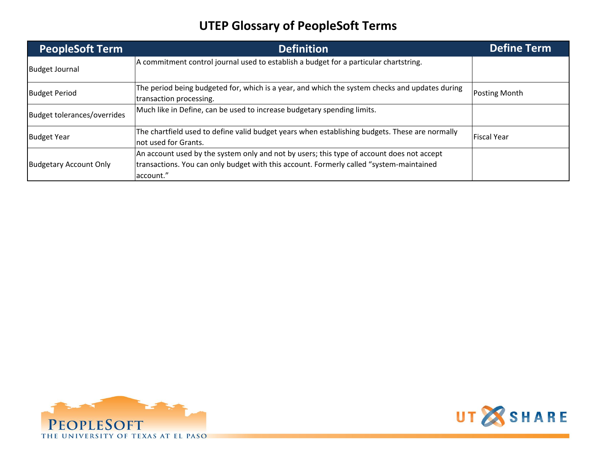| <b>PeopleSoft Term</b>        | <b>Definition</b>                                                                                                                                                                                  | <b>Define Term</b> |
|-------------------------------|----------------------------------------------------------------------------------------------------------------------------------------------------------------------------------------------------|--------------------|
| <b>Budget Journal</b>         | A commitment control journal used to establish a budget for a particular chartstring.                                                                                                              |                    |
| <b>Budget Period</b>          | The period being budgeted for, which is a year, and which the system checks and updates during<br>transaction processing.                                                                          | Posting Month      |
| Budget tolerances/overrides   | Much like in Define, can be used to increase budgetary spending limits.                                                                                                                            |                    |
| <b>Budget Year</b>            | The chartfield used to define valid budget years when establishing budgets. These are normally<br>not used for Grants.                                                                             | Fiscal Year        |
| <b>Budgetary Account Only</b> | An account used by the system only and not by users; this type of account does not accept<br>transactions. You can only budget with this account. Formerly called "system-maintained"<br>account." |                    |



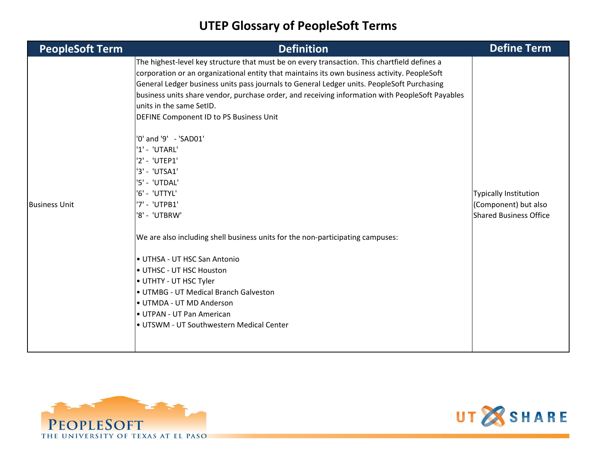| <b>PeopleSoft Term</b> | <b>Definition</b>                                                                                                                                                                                                                                                                                                                                                                                                                                                                                                                                                                                                                                                                                                                                                                                                                                                                                                                        | <b>Define Term</b>                                                                    |
|------------------------|------------------------------------------------------------------------------------------------------------------------------------------------------------------------------------------------------------------------------------------------------------------------------------------------------------------------------------------------------------------------------------------------------------------------------------------------------------------------------------------------------------------------------------------------------------------------------------------------------------------------------------------------------------------------------------------------------------------------------------------------------------------------------------------------------------------------------------------------------------------------------------------------------------------------------------------|---------------------------------------------------------------------------------------|
| <b>Business Unit</b>   | The highest-level key structure that must be on every transaction. This chartfield defines a<br>corporation or an organizational entity that maintains its own business activity. PeopleSoft<br>General Ledger business units pass journals to General Ledger units. PeopleSoft Purchasing<br>business units share vendor, purchase order, and receiving information with PeopleSoft Payables<br>units in the same SetID.<br>DEFINE Component ID to PS Business Unit<br>'0' and '9' - 'SAD01'<br>'1' - 'UTARL'<br>'2' - 'UTEP1'<br>'3' - 'UTSA1'<br>'5' - 'UTDAL'<br>'6' - 'UTTYL'<br>'7' - 'UTPB1'<br>'8' - 'UTBRW'<br>We are also including shell business units for the non-participating campuses:<br>• UTHSA - UT HSC San Antonio<br>• UTHSC - UT HSC Houston<br>UTHTY - UT HSC Tyler<br>• UTMBG - UT Medical Branch Galveston<br>• UTMDA - UT MD Anderson<br>• UTPAN - UT Pan American<br>• UTSWM - UT Southwestern Medical Center | <b>Typically Institution</b><br>(Component) but also<br><b>Shared Business Office</b> |
|                        |                                                                                                                                                                                                                                                                                                                                                                                                                                                                                                                                                                                                                                                                                                                                                                                                                                                                                                                                          |                                                                                       |



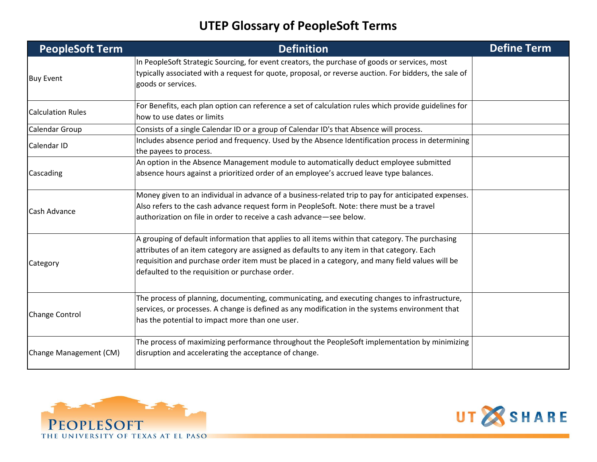| <b>PeopleSoft Term</b>   | <b>Definition</b>                                                                                                                                                                                                                                                                                                                                    | <b>Define Term</b> |
|--------------------------|------------------------------------------------------------------------------------------------------------------------------------------------------------------------------------------------------------------------------------------------------------------------------------------------------------------------------------------------------|--------------------|
| <b>Buy Event</b>         | In PeopleSoft Strategic Sourcing, for event creators, the purchase of goods or services, most<br>typically associated with a request for quote, proposal, or reverse auction. For bidders, the sale of<br>goods or services.                                                                                                                         |                    |
| <b>Calculation Rules</b> | For Benefits, each plan option can reference a set of calculation rules which provide guidelines for<br>how to use dates or limits                                                                                                                                                                                                                   |                    |
| <b>Calendar Group</b>    | Consists of a single Calendar ID or a group of Calendar ID's that Absence will process.                                                                                                                                                                                                                                                              |                    |
| Calendar ID              | Includes absence period and frequency. Used by the Absence Identification process in determining<br>the payees to process.                                                                                                                                                                                                                           |                    |
| Cascading                | An option in the Absence Management module to automatically deduct employee submitted<br>absence hours against a prioritized order of an employee's accrued leave type balances.                                                                                                                                                                     |                    |
| Cash Advance             | Money given to an individual in advance of a business-related trip to pay for anticipated expenses.<br>Also refers to the cash advance request form in PeopleSoft. Note: there must be a travel<br>authorization on file in order to receive a cash advance—see below.                                                                               |                    |
| Category                 | A grouping of default information that applies to all items within that category. The purchasing<br>attributes of an item category are assigned as defaults to any item in that category. Each<br>requisition and purchase order item must be placed in a category, and many field values will be<br>defaulted to the requisition or purchase order. |                    |
| <b>Change Control</b>    | The process of planning, documenting, communicating, and executing changes to infrastructure,<br>services, or processes. A change is defined as any modification in the systems environment that<br>has the potential to impact more than one user.                                                                                                  |                    |
| Change Management (CM)   | The process of maximizing performance throughout the PeopleSoft implementation by minimizing<br>disruption and accelerating the acceptance of change.                                                                                                                                                                                                |                    |



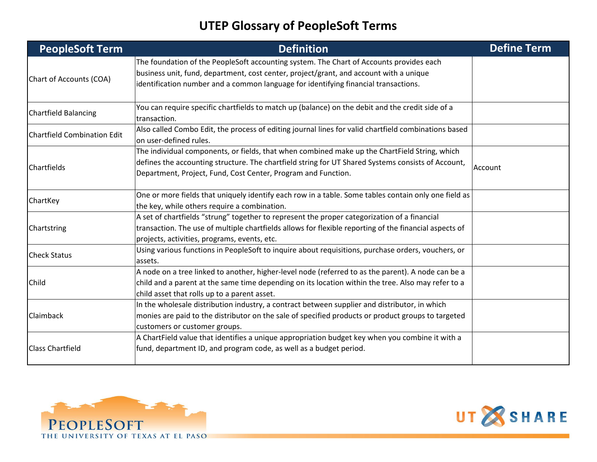| <b>PeopleSoft Term</b>             | <b>Definition</b>                                                                                                                                                                                                                                                        | <b>Define Term</b> |
|------------------------------------|--------------------------------------------------------------------------------------------------------------------------------------------------------------------------------------------------------------------------------------------------------------------------|--------------------|
| Chart of Accounts (COA)            | The foundation of the PeopleSoft accounting system. The Chart of Accounts provides each<br>business unit, fund, department, cost center, project/grant, and account with a unique<br>identification number and a common language for identifying financial transactions. |                    |
| <b>Chartfield Balancing</b>        | You can require specific chartfields to match up (balance) on the debit and the credit side of a<br>transaction.                                                                                                                                                         |                    |
| <b>Chartfield Combination Edit</b> | Also called Combo Edit, the process of editing journal lines for valid chartfield combinations based<br>on user-defined rules.                                                                                                                                           |                    |
| Chartfields                        | The individual components, or fields, that when combined make up the ChartField String, which<br>defines the accounting structure. The chartfield string for UT Shared Systems consists of Account,<br>Department, Project, Fund, Cost Center, Program and Function.     | Account            |
| ChartKey                           | One or more fields that uniquely identify each row in a table. Some tables contain only one field as<br>the key, while others require a combination.                                                                                                                     |                    |
| Chartstring                        | A set of chartfields "strung" together to represent the proper categorization of a financial<br>transaction. The use of multiple chartfields allows for flexible reporting of the financial aspects of<br>projects, activities, programs, events, etc.                   |                    |
| <b>Check Status</b>                | Using various functions in PeopleSoft to inquire about requisitions, purchase orders, vouchers, or<br>assets.                                                                                                                                                            |                    |
| Child                              | A node on a tree linked to another, higher-level node (referred to as the parent). A node can be a<br>child and a parent at the same time depending on its location within the tree. Also may refer to a<br>child asset that rolls up to a parent asset.                 |                    |
| Claimback                          | In the wholesale distribution industry, a contract between supplier and distributor, in which<br>monies are paid to the distributor on the sale of specified products or product groups to targeted<br>customers or customer groups.                                     |                    |
| <b>Class Chartfield</b>            | A ChartField value that identifies a unique appropriation budget key when you combine it with a<br>fund, department ID, and program code, as well as a budget period.                                                                                                    |                    |



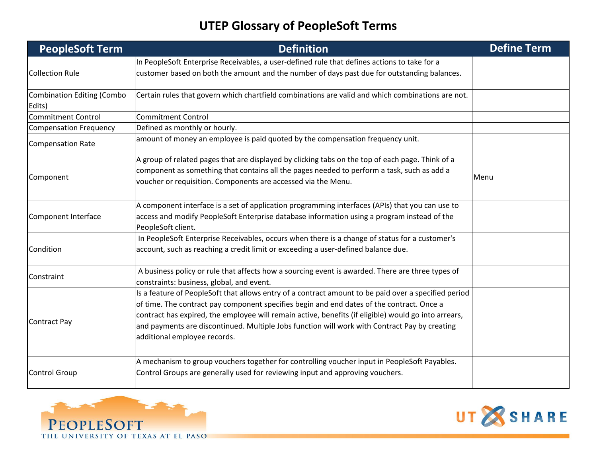| <b>PeopleSoft Term</b>                      | <b>Definition</b>                                                                                                                                                                                                                                                                                                                                                                                                                          | <b>Define Term</b> |
|---------------------------------------------|--------------------------------------------------------------------------------------------------------------------------------------------------------------------------------------------------------------------------------------------------------------------------------------------------------------------------------------------------------------------------------------------------------------------------------------------|--------------------|
|                                             | In PeopleSoft Enterprise Receivables, a user-defined rule that defines actions to take for a                                                                                                                                                                                                                                                                                                                                               |                    |
| <b>Collection Rule</b>                      | customer based on both the amount and the number of days past due for outstanding balances.                                                                                                                                                                                                                                                                                                                                                |                    |
| <b>Combination Editing (Combo</b><br>Edits) | Certain rules that govern which chartfield combinations are valid and which combinations are not.                                                                                                                                                                                                                                                                                                                                          |                    |
| <b>Commitment Control</b>                   | <b>Commitment Control</b>                                                                                                                                                                                                                                                                                                                                                                                                                  |                    |
| <b>Compensation Frequency</b>               | Defined as monthly or hourly.                                                                                                                                                                                                                                                                                                                                                                                                              |                    |
| <b>Compensation Rate</b>                    | amount of money an employee is paid quoted by the compensation frequency unit.                                                                                                                                                                                                                                                                                                                                                             |                    |
| Component                                   | A group of related pages that are displayed by clicking tabs on the top of each page. Think of a<br>component as something that contains all the pages needed to perform a task, such as add a<br>voucher or requisition. Components are accessed via the Menu.                                                                                                                                                                            | Menu               |
| Component Interface                         | A component interface is a set of application programming interfaces (APIs) that you can use to<br>access and modify PeopleSoft Enterprise database information using a program instead of the<br>PeopleSoft client.                                                                                                                                                                                                                       |                    |
| Condition                                   | In PeopleSoft Enterprise Receivables, occurs when there is a change of status for a customer's<br>account, such as reaching a credit limit or exceeding a user-defined balance due.                                                                                                                                                                                                                                                        |                    |
| Constraint                                  | A business policy or rule that affects how a sourcing event is awarded. There are three types of<br>constraints: business, global, and event.                                                                                                                                                                                                                                                                                              |                    |
| <b>Contract Pay</b>                         | Is a feature of PeopleSoft that allows entry of a contract amount to be paid over a specified period<br>of time. The contract pay component specifies begin and end dates of the contract. Once a<br>contract has expired, the employee will remain active, benefits (if eligible) would go into arrears,<br>and payments are discontinued. Multiple Jobs function will work with Contract Pay by creating<br>additional employee records. |                    |
| <b>Control Group</b>                        | A mechanism to group vouchers together for controlling voucher input in PeopleSoft Payables.<br>Control Groups are generally used for reviewing input and approving vouchers.                                                                                                                                                                                                                                                              |                    |



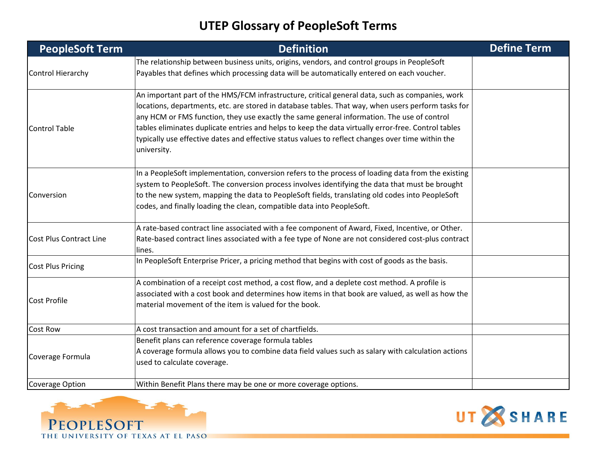| <b>PeopleSoft Term</b>         | <b>Definition</b>                                                                                                                                                                                                                                                                                                                                                                                                                                                                                                              | <b>Define Term</b> |
|--------------------------------|--------------------------------------------------------------------------------------------------------------------------------------------------------------------------------------------------------------------------------------------------------------------------------------------------------------------------------------------------------------------------------------------------------------------------------------------------------------------------------------------------------------------------------|--------------------|
| Control Hierarchy              | The relationship between business units, origins, vendors, and control groups in PeopleSoft<br>Payables that defines which processing data will be automatically entered on each voucher.                                                                                                                                                                                                                                                                                                                                      |                    |
| <b>Control Table</b>           | An important part of the HMS/FCM infrastructure, critical general data, such as companies, work<br>locations, departments, etc. are stored in database tables. That way, when users perform tasks for<br>any HCM or FMS function, they use exactly the same general information. The use of control<br>tables eliminates duplicate entries and helps to keep the data virtually error-free. Control tables<br>typically use effective dates and effective status values to reflect changes over time within the<br>university. |                    |
| Conversion                     | In a PeopleSoft implementation, conversion refers to the process of loading data from the existing<br>system to PeopleSoft. The conversion process involves identifying the data that must be brought<br>to the new system, mapping the data to PeopleSoft fields, translating old codes into PeopleSoft<br>codes, and finally loading the clean, compatible data into PeopleSoft.                                                                                                                                             |                    |
| <b>Cost Plus Contract Line</b> | A rate-based contract line associated with a fee component of Award, Fixed, Incentive, or Other.<br>Rate-based contract lines associated with a fee type of None are not considered cost-plus contract<br>lines.                                                                                                                                                                                                                                                                                                               |                    |
| <b>Cost Plus Pricing</b>       | In PeopleSoft Enterprise Pricer, a pricing method that begins with cost of goods as the basis.                                                                                                                                                                                                                                                                                                                                                                                                                                 |                    |
| <b>Cost Profile</b>            | A combination of a receipt cost method, a cost flow, and a deplete cost method. A profile is<br>associated with a cost book and determines how items in that book are valued, as well as how the<br>material movement of the item is valued for the book.                                                                                                                                                                                                                                                                      |                    |
| <b>Cost Row</b>                | $ A \cosh t$ ransaction and amount for a set of chartfields.                                                                                                                                                                                                                                                                                                                                                                                                                                                                   |                    |
| Coverage Formula               | Benefit plans can reference coverage formula tables<br>A coverage formula allows you to combine data field values such as salary with calculation actions<br>used to calculate coverage.                                                                                                                                                                                                                                                                                                                                       |                    |
| <b>Coverage Option</b>         | Within Benefit Plans there may be one or more coverage options.                                                                                                                                                                                                                                                                                                                                                                                                                                                                |                    |



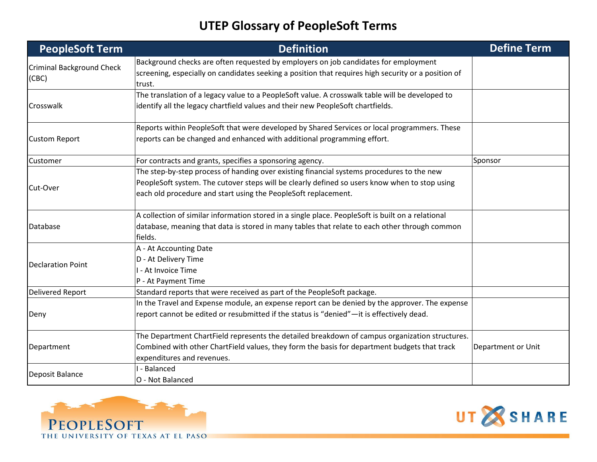| <b>PeopleSoft Term</b>                    | <b>Definition</b>                                                                                                                                                                                                                                            | <b>Define Term</b> |
|-------------------------------------------|--------------------------------------------------------------------------------------------------------------------------------------------------------------------------------------------------------------------------------------------------------------|--------------------|
| <b>Criminal Background Check</b><br>(CBC) | Background checks are often requested by employers on job candidates for employment<br>screening, especially on candidates seeking a position that requires high security or a position of<br>ltrust.                                                        |                    |
| Crosswalk                                 | The translation of a legacy value to a PeopleSoft value. A crosswalk table will be developed to<br>identify all the legacy chartfield values and their new PeopleSoft chartfields.                                                                           |                    |
| <b>Custom Report</b>                      | Reports within PeopleSoft that were developed by Shared Services or local programmers. These<br>reports can be changed and enhanced with additional programming effort.                                                                                      |                    |
| Customer                                  | For contracts and grants, specifies a sponsoring agency.                                                                                                                                                                                                     | Sponsor            |
| Cut-Over                                  | The step-by-step process of handing over existing financial systems procedures to the new<br>PeopleSoft system. The cutover steps will be clearly defined so users know when to stop using<br>each old procedure and start using the PeopleSoft replacement. |                    |
| Database                                  | A collection of similar information stored in a single place. PeopleSoft is built on a relational<br>database, meaning that data is stored in many tables that relate to each other through common<br>fields.                                                |                    |
| <b>Declaration Point</b>                  | A - At Accounting Date<br>D - At Delivery Time<br>I - At Invoice Time<br>P - At Payment Time                                                                                                                                                                 |                    |
| <b>Delivered Report</b>                   | Standard reports that were received as part of the PeopleSoft package.                                                                                                                                                                                       |                    |
| Deny                                      | In the Travel and Expense module, an expense report can be denied by the approver. The expense<br>report cannot be edited or resubmitted if the status is "denied"-it is effectively dead.                                                                   |                    |
| Department                                | The Department ChartField represents the detailed breakdown of campus organization structures.<br>Combined with other ChartField values, they form the basis for department budgets that track<br>expenditures and revenues.                                 | Department or Unit |
| Deposit Balance                           | I - Balanced<br>O - Not Balanced                                                                                                                                                                                                                             |                    |



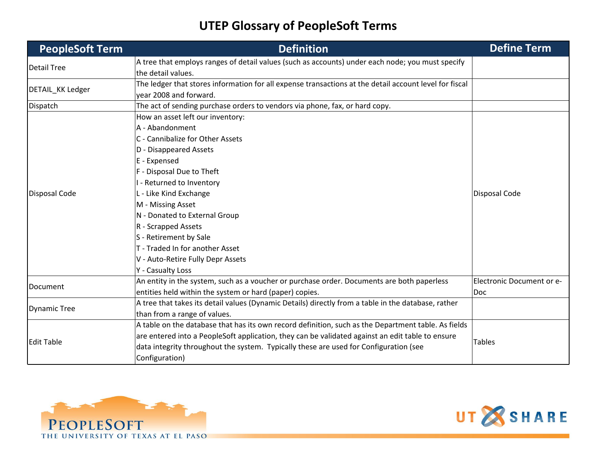| <b>PeopleSoft Term</b> | <b>Definition</b>                                                                                      | <b>Define Term</b>        |
|------------------------|--------------------------------------------------------------------------------------------------------|---------------------------|
| <b>Detail Tree</b>     | A tree that employs ranges of detail values (such as accounts) under each node; you must specify       |                           |
|                        | the detail values.                                                                                     |                           |
| DETAIL_KK Ledger       | The ledger that stores information for all expense transactions at the detail account level for fiscal |                           |
|                        | year 2008 and forward.                                                                                 |                           |
| Dispatch               | The act of sending purchase orders to vendors via phone, fax, or hard copy.                            |                           |
|                        | How an asset left our inventory:                                                                       |                           |
|                        | A - Abandonment                                                                                        |                           |
|                        | C - Cannibalize for Other Assets                                                                       |                           |
|                        | D - Disappeared Assets                                                                                 |                           |
|                        | E - Expensed                                                                                           |                           |
|                        | F - Disposal Due to Theft                                                                              |                           |
|                        | I - Returned to Inventory                                                                              |                           |
| <b>Disposal Code</b>   | L - Like Kind Exchange                                                                                 | <b>Disposal Code</b>      |
|                        | M - Missing Asset                                                                                      |                           |
|                        | N - Donated to External Group                                                                          |                           |
|                        | R - Scrapped Assets                                                                                    |                           |
|                        | S - Retirement by Sale                                                                                 |                           |
|                        | T - Traded In for another Asset                                                                        |                           |
|                        | V - Auto-Retire Fully Depr Assets                                                                      |                           |
|                        | Y - Casualty Loss                                                                                      |                           |
|                        | An entity in the system, such as a voucher or purchase order. Documents are both paperless             | Electronic Document or e- |
| Document               | entities held within the system or hard (paper) copies.                                                | Doc                       |
|                        | A tree that takes its detail values (Dynamic Details) directly from a table in the database, rather    |                           |
| <b>Dynamic Tree</b>    | than from a range of values.                                                                           |                           |
|                        | A table on the database that has its own record definition, such as the Department table. As fields    |                           |
| <b>Edit Table</b>      | are entered into a PeopleSoft application, they can be validated against an edit table to ensure       | <b>Tables</b>             |
|                        | data integrity throughout the system. Typically these are used for Configuration (see                  |                           |
|                        | Configuration)                                                                                         |                           |



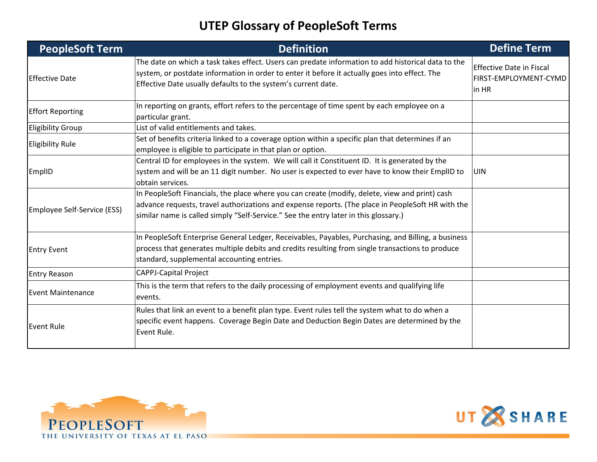| <b>PeopleSoft Term</b>      | <b>Definition</b>                                                                                                                                                                                                                                                                           | <b>Define Term</b>                                                |
|-----------------------------|---------------------------------------------------------------------------------------------------------------------------------------------------------------------------------------------------------------------------------------------------------------------------------------------|-------------------------------------------------------------------|
| <b>Effective Date</b>       | The date on which a task takes effect. Users can predate information to add historical data to the<br>system, or postdate information in order to enter it before it actually goes into effect. The<br>Effective Date usually defaults to the system's current date.                        | <b>Effective Date in Fiscal</b><br>FIRST-EMPLOYMENT-CYMD<br>in HR |
| <b>Effort Reporting</b>     | In reporting on grants, effort refers to the percentage of time spent by each employee on a<br>particular grant.                                                                                                                                                                            |                                                                   |
| <b>Eligibility Group</b>    | List of valid entitlements and takes.                                                                                                                                                                                                                                                       |                                                                   |
| <b>Eligibility Rule</b>     | Set of benefits criteria linked to a coverage option within a specific plan that determines if an<br>employee is eligible to participate in that plan or option.                                                                                                                            |                                                                   |
| EmplID                      | Central ID for employees in the system. We will call it Constituent ID. It is generated by the<br>system and will be an 11 digit number. No user is expected to ever have to know their EmplID to<br>obtain services.                                                                       | <b>UIN</b>                                                        |
| Employee Self-Service (ESS) | In PeopleSoft Financials, the place where you can create (modify, delete, view and print) cash<br>advance requests, travel authorizations and expense reports. (The place in PeopleSoft HR with the<br>similar name is called simply "Self-Service." See the entry later in this glossary.) |                                                                   |
| <b>Entry Event</b>          | In PeopleSoft Enterprise General Ledger, Receivables, Payables, Purchasing, and Billing, a business<br>process that generates multiple debits and credits resulting from single transactions to produce<br>standard, supplemental accounting entries.                                       |                                                                   |
| <b>Entry Reason</b>         | <b>CAPPJ-Capital Project</b>                                                                                                                                                                                                                                                                |                                                                   |
| <b>Event Maintenance</b>    | This is the term that refers to the daily processing of employment events and qualifying life<br>events.                                                                                                                                                                                    |                                                                   |
| <b>Event Rule</b>           | Rules that link an event to a benefit plan type. Event rules tell the system what to do when a<br>specific event happens. Coverage Begin Date and Deduction Begin Dates are determined by the<br>Event Rule.                                                                                |                                                                   |



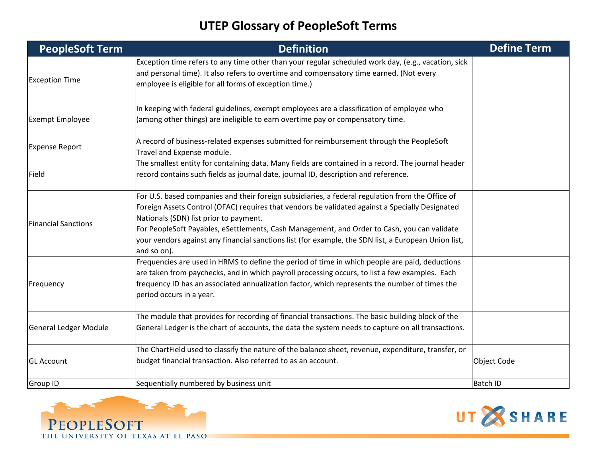| <b>PeopleSoft Term</b>       | <b>Definition</b>                                                                                                                                                                                                                                                                                                                                                                                                                                                   | <b>Define Term</b> |
|------------------------------|---------------------------------------------------------------------------------------------------------------------------------------------------------------------------------------------------------------------------------------------------------------------------------------------------------------------------------------------------------------------------------------------------------------------------------------------------------------------|--------------------|
| <b>Exception Time</b>        | Exception time refers to any time other than your regular scheduled work day, (e.g., vacation, sick<br>and personal time). It also refers to overtime and compensatory time earned. (Not every<br>employee is eligible for all forms of exception time.)                                                                                                                                                                                                            |                    |
| <b>Exempt Employee</b>       | In keeping with federal guidelines, exempt employees are a classification of employee who<br>(among other things) are ineligible to earn overtime pay or compensatory time.                                                                                                                                                                                                                                                                                         |                    |
| <b>Expense Report</b>        | A record of business-related expenses submitted for reimbursement through the PeopleSoft<br>Travel and Expense module.                                                                                                                                                                                                                                                                                                                                              |                    |
| Field                        | The smallest entity for containing data. Many fields are contained in a record. The journal header<br>record contains such fields as journal date, journal ID, description and reference.                                                                                                                                                                                                                                                                           |                    |
| <b>Financial Sanctions</b>   | For U.S. based companies and their foreign subsidiaries, a federal regulation from the Office of<br>Foreign Assets Control (OFAC) requires that vendors be validated against a Specially Designated<br>Nationals (SDN) list prior to payment.<br>For PeopleSoft Payables, eSettlements, Cash Management, and Order to Cash, you can validate<br>your vendors against any financial sanctions list (for example, the SDN list, a European Union list,<br>and so on). |                    |
| Frequency                    | Frequencies are used in HRMS to define the period of time in which people are paid, deductions<br>are taken from paychecks, and in which payroll processing occurs, to list a few examples. Each<br>frequency ID has an associated annualization factor, which represents the number of times the<br>period occurs in a year.                                                                                                                                       |                    |
| <b>General Ledger Module</b> | The module that provides for recording of financial transactions. The basic building block of the<br>General Ledger is the chart of accounts, the data the system needs to capture on all transactions.                                                                                                                                                                                                                                                             |                    |
| <b>GL Account</b>            | The ChartField used to classify the nature of the balance sheet, revenue, expenditure, transfer, or<br>budget financial transaction. Also referred to as an account.                                                                                                                                                                                                                                                                                                | <b>Object Code</b> |
| Group ID                     | Sequentially numbered by business unit                                                                                                                                                                                                                                                                                                                                                                                                                              | <b>Batch ID</b>    |



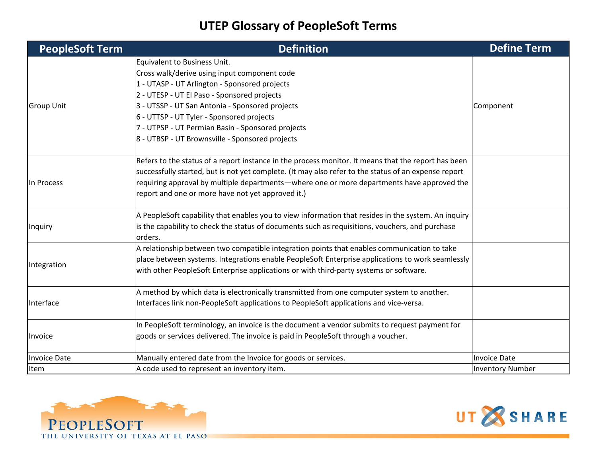| <b>PeopleSoft Term</b> | <b>Definition</b>                                                                                    | <b>Define Term</b>      |
|------------------------|------------------------------------------------------------------------------------------------------|-------------------------|
|                        | Equivalent to Business Unit.                                                                         |                         |
|                        | Cross walk/derive using input component code                                                         |                         |
|                        | 1 - UTASP - UT Arlington - Sponsored projects                                                        |                         |
|                        | 2 - UTESP - UT El Paso - Sponsored projects                                                          |                         |
| <b>Group Unit</b>      | 3 - UTSSP - UT San Antonia - Sponsored projects                                                      | Component               |
|                        | 6 - UTTSP - UT Tyler - Sponsored projects                                                            |                         |
|                        | 7 - UTPSP - UT Permian Basin - Sponsored projects                                                    |                         |
|                        | 8 - UTBSP - UT Brownsville - Sponsored projects                                                      |                         |
|                        | Refers to the status of a report instance in the process monitor. It means that the report has been  |                         |
|                        | successfully started, but is not yet complete. (It may also refer to the status of an expense report |                         |
| In Process             | requiring approval by multiple departments—where one or more departments have approved the           |                         |
|                        | report and one or more have not yet approved it.)                                                    |                         |
|                        |                                                                                                      |                         |
|                        | A PeopleSoft capability that enables you to view information that resides in the system. An inquiry  |                         |
| Inquiry                | is the capability to check the status of documents such as requisitions, vouchers, and purchase      |                         |
|                        | orders.                                                                                              |                         |
|                        | A relationship between two compatible integration points that enables communication to take          |                         |
| Integration            | place between systems. Integrations enable PeopleSoft Enterprise applications to work seamlessly     |                         |
|                        | with other PeopleSoft Enterprise applications or with third-party systems or software.               |                         |
|                        | A method by which data is electronically transmitted from one computer system to another.            |                         |
| Interface              | Interfaces link non-PeopleSoft applications to PeopleSoft applications and vice-versa.               |                         |
| Invoice                | In PeopleSoft terminology, an invoice is the document a vendor submits to request payment for        |                         |
|                        | goods or services delivered. The invoice is paid in PeopleSoft through a voucher.                    |                         |
|                        |                                                                                                      |                         |
| Invoice Date           | Manually entered date from the Invoice for goods or services.                                        | <b>Invoice Date</b>     |
| Item                   | A code used to represent an inventory item.                                                          | <b>Inventory Number</b> |



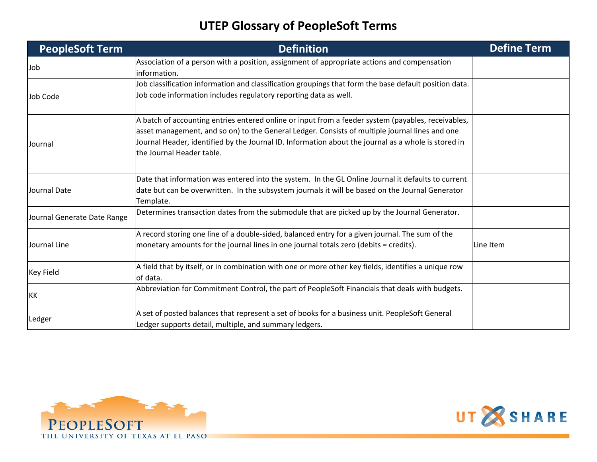| <b>PeopleSoft Term</b>      | <b>Definition</b>                                                                                                                                                                                                                                                                                                                        | <b>Define Term</b> |
|-----------------------------|------------------------------------------------------------------------------------------------------------------------------------------------------------------------------------------------------------------------------------------------------------------------------------------------------------------------------------------|--------------------|
| Job                         | Association of a person with a position, assignment of appropriate actions and compensation<br>information.                                                                                                                                                                                                                              |                    |
| Job Code                    | Job classification information and classification groupings that form the base default position data.<br>Job code information includes regulatory reporting data as well.                                                                                                                                                                |                    |
| Journal                     | A batch of accounting entries entered online or input from a feeder system (payables, receivables,<br>asset management, and so on) to the General Ledger. Consists of multiple journal lines and one<br>Journal Header, identified by the Journal ID. Information about the journal as a whole is stored in<br>the Journal Header table. |                    |
| Journal Date                | Date that information was entered into the system. In the GL Online Journal it defaults to current<br>date but can be overwritten. In the subsystem journals it will be based on the Journal Generator<br>Template.                                                                                                                      |                    |
| Journal Generate Date Range | Determines transaction dates from the submodule that are picked up by the Journal Generator.                                                                                                                                                                                                                                             |                    |
| Journal Line                | A record storing one line of a double-sided, balanced entry for a given journal. The sum of the<br>monetary amounts for the journal lines in one journal totals zero (debits = credits).                                                                                                                                                 | Line Item          |
| <b>Key Field</b>            | A field that by itself, or in combination with one or more other key fields, identifies a unique row<br>of data.                                                                                                                                                                                                                         |                    |
| KK                          | Abbreviation for Commitment Control, the part of PeopleSoft Financials that deals with budgets.                                                                                                                                                                                                                                          |                    |
| Ledger                      | A set of posted balances that represent a set of books for a business unit. PeopleSoft General<br>Ledger supports detail, multiple, and summary ledgers.                                                                                                                                                                                 |                    |



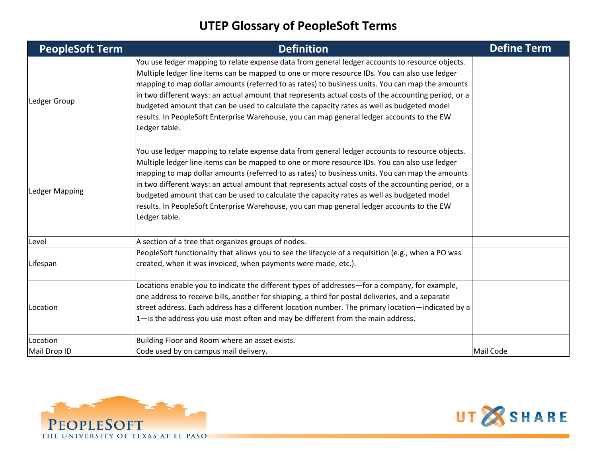| <b>PeopleSoft Term</b> | <b>Definition</b>                                                                                                                                                                                                                                                                                                                                                                                                                                                                                                                                                                                                       | <b>Define Term</b> |
|------------------------|-------------------------------------------------------------------------------------------------------------------------------------------------------------------------------------------------------------------------------------------------------------------------------------------------------------------------------------------------------------------------------------------------------------------------------------------------------------------------------------------------------------------------------------------------------------------------------------------------------------------------|--------------------|
| Ledger Group           | You use ledger mapping to relate expense data from general ledger accounts to resource objects.<br>Multiple ledger line items can be mapped to one or more resource IDs. You can also use ledger<br>mapping to map dollar amounts (referred to as rates) to business units. You can map the amounts<br>in two different ways: an actual amount that represents actual costs of the accounting period, or a<br>budgeted amount that can be used to calculate the capacity rates as well as budgeted model<br>results. In PeopleSoft Enterprise Warehouse, you can map general ledger accounts to the EW<br>Ledger table. |                    |
| Ledger Mapping         | You use ledger mapping to relate expense data from general ledger accounts to resource objects.<br>Multiple ledger line items can be mapped to one or more resource IDs. You can also use ledger<br>mapping to map dollar amounts (referred to as rates) to business units. You can map the amounts<br>in two different ways: an actual amount that represents actual costs of the accounting period, or a<br>budgeted amount that can be used to calculate the capacity rates as well as budgeted model<br>results. In PeopleSoft Enterprise Warehouse, you can map general ledger accounts to the EW<br>Ledger table. |                    |
| Level                  | A section of a tree that organizes groups of nodes.                                                                                                                                                                                                                                                                                                                                                                                                                                                                                                                                                                     |                    |
| Lifespan               | PeopleSoft functionality that allows you to see the lifecycle of a requisition (e.g., when a PO was<br>created, when it was invoiced, when payments were made, etc.).                                                                                                                                                                                                                                                                                                                                                                                                                                                   |                    |
| Location               | Locations enable you to indicate the different types of addresses—for a company, for example,<br>one address to receive bills, another for shipping, a third for postal deliveries, and a separate<br>street address. Each address has a different location number. The primary location—indicated by a<br>1-is the address you use most often and may be different from the main address.                                                                                                                                                                                                                              |                    |
| Location               | Building Floor and Room where an asset exists.                                                                                                                                                                                                                                                                                                                                                                                                                                                                                                                                                                          |                    |
| Mail Drop ID           | Code used by on campus mail delivery.                                                                                                                                                                                                                                                                                                                                                                                                                                                                                                                                                                                   | Mail Code          |



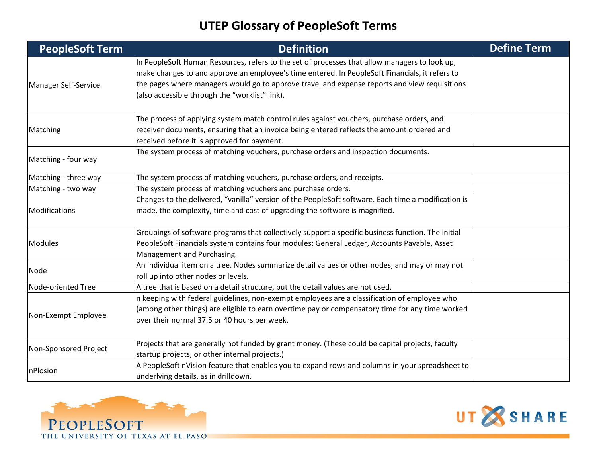| <b>PeopleSoft Term</b> | <b>Definition</b>                                                                                                                                                                                                                                                                                                                                  | <b>Define Term</b> |
|------------------------|----------------------------------------------------------------------------------------------------------------------------------------------------------------------------------------------------------------------------------------------------------------------------------------------------------------------------------------------------|--------------------|
| Manager Self-Service   | In PeopleSoft Human Resources, refers to the set of processes that allow managers to look up,<br>make changes to and approve an employee's time entered. In PeopleSoft Financials, it refers to<br>the pages where managers would go to approve travel and expense reports and view requisitions<br>(also accessible through the "worklist" link). |                    |
| Matching               | The process of applying system match control rules against vouchers, purchase orders, and<br>receiver documents, ensuring that an invoice being entered reflects the amount ordered and<br>received before it is approved for payment.                                                                                                             |                    |
| Matching - four way    | The system process of matching vouchers, purchase orders and inspection documents.                                                                                                                                                                                                                                                                 |                    |
| Matching - three way   | The system process of matching vouchers, purchase orders, and receipts.                                                                                                                                                                                                                                                                            |                    |
| Matching - two way     | The system process of matching vouchers and purchase orders.                                                                                                                                                                                                                                                                                       |                    |
| Modifications          | Changes to the delivered, "vanilla" version of the PeopleSoft software. Each time a modification is<br>made, the complexity, time and cost of upgrading the software is magnified.                                                                                                                                                                 |                    |
| <b>Modules</b>         | Groupings of software programs that collectively support a specific business function. The initial<br>PeopleSoft Financials system contains four modules: General Ledger, Accounts Payable, Asset<br>Management and Purchasing.                                                                                                                    |                    |
| Node                   | An individual item on a tree. Nodes summarize detail values or other nodes, and may or may not<br>roll up into other nodes or levels.                                                                                                                                                                                                              |                    |
| Node-oriented Tree     | A tree that is based on a detail structure, but the detail values are not used.                                                                                                                                                                                                                                                                    |                    |
| Non-Exempt Employee    | n keeping with federal guidelines, non-exempt employees are a classification of employee who<br>(among other things) are eligible to earn overtime pay or compensatory time for any time worked<br>over their normal 37.5 or 40 hours per week.                                                                                                    |                    |
| Non-Sponsored Project  | Projects that are generally not funded by grant money. (These could be capital projects, faculty<br>startup projects, or other internal projects.)                                                                                                                                                                                                 |                    |
| nPlosion               | A PeopleSoft nVision feature that enables you to expand rows and columns in your spreadsheet to<br>underlying details, as in drilldown.                                                                                                                                                                                                            |                    |



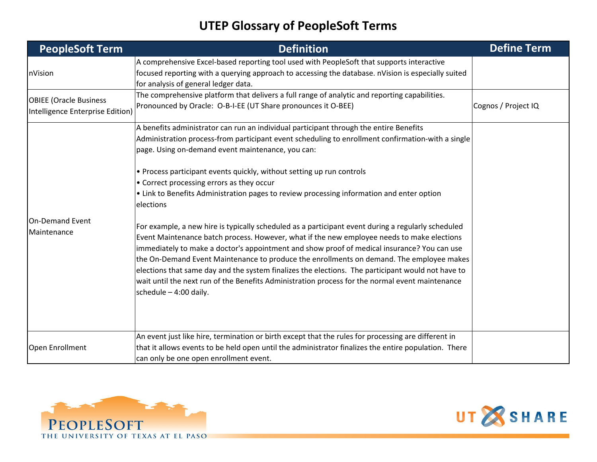| <b>PeopleSoft Term</b>                                            | <b>Definition</b>                                                                                                                                                                                                                                                                                                                                                                                                                                                                                                                                                                                                              | <b>Define Term</b>  |
|-------------------------------------------------------------------|--------------------------------------------------------------------------------------------------------------------------------------------------------------------------------------------------------------------------------------------------------------------------------------------------------------------------------------------------------------------------------------------------------------------------------------------------------------------------------------------------------------------------------------------------------------------------------------------------------------------------------|---------------------|
| nVision                                                           | A comprehensive Excel-based reporting tool used with PeopleSoft that supports interactive<br>focused reporting with a querying approach to accessing the database. nVision is especially suited<br>for analysis of general ledger data.                                                                                                                                                                                                                                                                                                                                                                                        |                     |
| <b>OBIEE (Oracle Business</b><br>Intelligence Enterprise Edition) | The comprehensive platform that delivers a full range of analytic and reporting capabilities.<br>Pronounced by Oracle: O-B-I-EE (UT Share pronounces it O-BEE)                                                                                                                                                                                                                                                                                                                                                                                                                                                                 | Cognos / Project IQ |
|                                                                   | A benefits administrator can run an individual participant through the entire Benefits<br>Administration process-from participant event scheduling to enrollment confirmation-with a single<br>page. Using on-demand event maintenance, you can:                                                                                                                                                                                                                                                                                                                                                                               |                     |
|                                                                   | • Process participant events quickly, without setting up run controls<br>• Correct processing errors as they occur<br>• Link to Benefits Administration pages to review processing information and enter option<br>elections                                                                                                                                                                                                                                                                                                                                                                                                   |                     |
| On-Demand Event<br>Maintenance                                    | For example, a new hire is typically scheduled as a participant event during a regularly scheduled<br>Event Maintenance batch process. However, what if the new employee needs to make elections<br>immediately to make a doctor's appointment and show proof of medical insurance? You can use<br>the On-Demand Event Maintenance to produce the enrollments on demand. The employee makes<br>elections that same day and the system finalizes the elections. The participant would not have to<br>wait until the next run of the Benefits Administration process for the normal event maintenance<br>schedule $-4:00$ daily. |                     |
| Open Enrollment                                                   | An event just like hire, termination or birth except that the rules for processing are different in<br>that it allows events to be held open until the administrator finalizes the entire population. There<br>can only be one open enrollment event.                                                                                                                                                                                                                                                                                                                                                                          |                     |



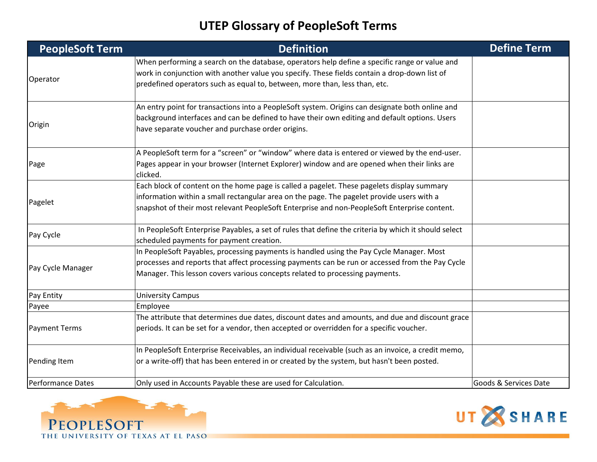| <b>PeopleSoft Term</b>   | <b>Definition</b>                                                                                                                                                                                                                                                                       | <b>Define Term</b>    |
|--------------------------|-----------------------------------------------------------------------------------------------------------------------------------------------------------------------------------------------------------------------------------------------------------------------------------------|-----------------------|
| Operator                 | When performing a search on the database, operators help define a specific range or value and<br>work in conjunction with another value you specify. These fields contain a drop-down list of<br>predefined operators such as equal to, between, more than, less than, etc.             |                       |
| Origin                   | An entry point for transactions into a PeopleSoft system. Origins can designate both online and<br>background interfaces and can be defined to have their own editing and default options. Users<br>have separate voucher and purchase order origins.                                   |                       |
| Page                     | A PeopleSoft term for a "screen" or "window" where data is entered or viewed by the end-user.<br>Pages appear in your browser (Internet Explorer) window and are opened when their links are<br>clicked.                                                                                |                       |
| Pagelet                  | Each block of content on the home page is called a pagelet. These pagelets display summary<br>information within a small rectangular area on the page. The pagelet provide users with a<br>snapshot of their most relevant PeopleSoft Enterprise and non-PeopleSoft Enterprise content. |                       |
| Pay Cycle                | In PeopleSoft Enterprise Payables, a set of rules that define the criteria by which it should select<br>scheduled payments for payment creation.                                                                                                                                        |                       |
| Pay Cycle Manager        | In PeopleSoft Payables, processing payments is handled using the Pay Cycle Manager. Most<br>processes and reports that affect processing payments can be run or accessed from the Pay Cycle<br>Manager. This lesson covers various concepts related to processing payments.             |                       |
| Pay Entity               | <b>University Campus</b>                                                                                                                                                                                                                                                                |                       |
| Payee                    | Employee                                                                                                                                                                                                                                                                                |                       |
| <b>Payment Terms</b>     | The attribute that determines due dates, discount dates and amounts, and due and discount grace<br>periods. It can be set for a vendor, then accepted or overridden for a specific voucher.                                                                                             |                       |
| Pending Item             | In PeopleSoft Enterprise Receivables, an individual receivable (such as an invoice, a credit memo,<br>or a write-off) that has been entered in or created by the system, but hasn't been posted.                                                                                        |                       |
| <b>Performance Dates</b> | Only used in Accounts Payable these are used for Calculation.                                                                                                                                                                                                                           | Goods & Services Date |



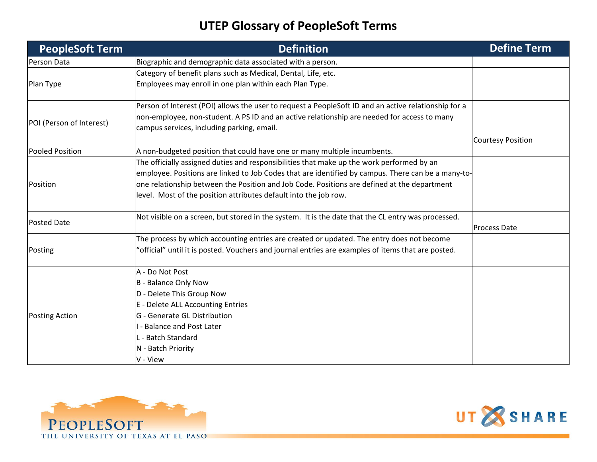| <b>PeopleSoft Term</b>   | <b>Definition</b>                                                                                    | <b>Define Term</b>       |
|--------------------------|------------------------------------------------------------------------------------------------------|--------------------------|
| Person Data              | Biographic and demographic data associated with a person.                                            |                          |
|                          | Category of benefit plans such as Medical, Dental, Life, etc.                                        |                          |
| Plan Type                | Employees may enroll in one plan within each Plan Type.                                              |                          |
|                          | Person of Interest (POI) allows the user to request a PeopleSoft ID and an active relationship for a |                          |
| POI (Person of Interest) | non-employee, non-student. A PS ID and an active relationship are needed for access to many          |                          |
|                          | campus services, including parking, email.                                                           |                          |
|                          |                                                                                                      | <b>Courtesy Position</b> |
| Pooled Position          | A non-budgeted position that could have one or many multiple incumbents.                             |                          |
|                          | The officially assigned duties and responsibilities that make up the work performed by an            |                          |
|                          | employee. Positions are linked to Job Codes that are identified by campus. There can be a many-to-   |                          |
| Position                 | one relationship between the Position and Job Code. Positions are defined at the department          |                          |
|                          | level. Most of the position attributes default into the job row.                                     |                          |
| <b>Posted Date</b>       | Not visible on a screen, but stored in the system. It is the date that the CL entry was processed.   |                          |
|                          |                                                                                                      | <b>Process Date</b>      |
|                          | The process by which accounting entries are created or updated. The entry does not become            |                          |
| Posting                  | "official" until it is posted. Vouchers and journal entries are examples of items that are posted.   |                          |
|                          | A - Do Not Post                                                                                      |                          |
|                          | B - Balance Only Now                                                                                 |                          |
|                          | D - Delete This Group Now                                                                            |                          |
|                          | E - Delete ALL Accounting Entries                                                                    |                          |
| <b>Posting Action</b>    | G - Generate GL Distribution                                                                         |                          |
|                          | I - Balance and Post Later                                                                           |                          |
|                          | L - Batch Standard                                                                                   |                          |
|                          | N - Batch Priority                                                                                   |                          |
|                          | V - View                                                                                             |                          |



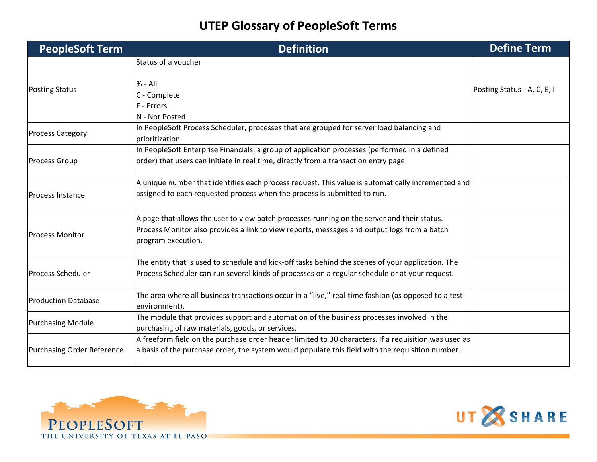| <b>PeopleSoft Term</b>            | <b>Definition</b>                                                                                                    | <b>Define Term</b>          |
|-----------------------------------|----------------------------------------------------------------------------------------------------------------------|-----------------------------|
|                                   | Status of a voucher                                                                                                  |                             |
| <b>Posting Status</b>             | $% - All$                                                                                                            | Posting Status - A, C, E, I |
|                                   | C - Complete                                                                                                         |                             |
|                                   | E - Errors                                                                                                           |                             |
|                                   | N - Not Posted                                                                                                       |                             |
| <b>Process Category</b>           | In PeopleSoft Process Scheduler, processes that are grouped for server load balancing and<br>prioritization.         |                             |
|                                   | In PeopleSoft Enterprise Financials, a group of application processes (performed in a defined                        |                             |
| <b>Process Group</b>              | order) that users can initiate in real time, directly from a transaction entry page.                                 |                             |
|                                   | A unique number that identifies each process request. This value is automatically incremented and                    |                             |
| <b>Process Instance</b>           | assigned to each requested process when the process is submitted to run.                                             |                             |
|                                   | A page that allows the user to view batch processes running on the server and their status.                          |                             |
| <b>Process Monitor</b>            | Process Monitor also provides a link to view reports, messages and output logs from a batch<br>program execution.    |                             |
|                                   | The entity that is used to schedule and kick-off tasks behind the scenes of your application. The                    |                             |
| <b>Process Scheduler</b>          | Process Scheduler can run several kinds of processes on a regular schedule or at your request.                       |                             |
| <b>Production Database</b>        | The area where all business transactions occur in a "live," real-time fashion (as opposed to a test<br>environment). |                             |
| <b>Purchasing Module</b>          | The module that provides support and automation of the business processes involved in the                            |                             |
|                                   | purchasing of raw materials, goods, or services.                                                                     |                             |
|                                   | A freeform field on the purchase order header limited to 30 characters. If a requisition was used as                 |                             |
| <b>Purchasing Order Reference</b> | $ a $ basis of the purchase order, the system would populate this field with the requisition number.                 |                             |



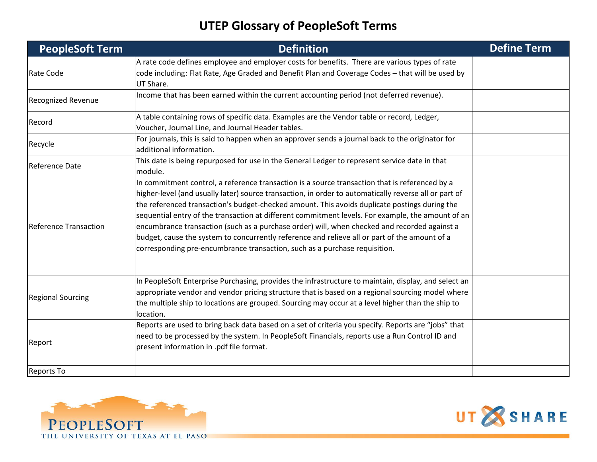| <b>PeopleSoft Term</b>       | <b>Definition</b>                                                                                                                                                                                                                                                                                                                                                                                                                                                                                                                                                                                                                                                                            | <b>Define Term</b> |
|------------------------------|----------------------------------------------------------------------------------------------------------------------------------------------------------------------------------------------------------------------------------------------------------------------------------------------------------------------------------------------------------------------------------------------------------------------------------------------------------------------------------------------------------------------------------------------------------------------------------------------------------------------------------------------------------------------------------------------|--------------------|
| Rate Code                    | A rate code defines employee and employer costs for benefits. There are various types of rate<br>code including: Flat Rate, Age Graded and Benefit Plan and Coverage Codes - that will be used by<br>UT Share.                                                                                                                                                                                                                                                                                                                                                                                                                                                                               |                    |
| <b>Recognized Revenue</b>    | Income that has been earned within the current accounting period (not deferred revenue).                                                                                                                                                                                                                                                                                                                                                                                                                                                                                                                                                                                                     |                    |
| Record                       | A table containing rows of specific data. Examples are the Vendor table or record, Ledger,<br>Voucher, Journal Line, and Journal Header tables.                                                                                                                                                                                                                                                                                                                                                                                                                                                                                                                                              |                    |
| Recycle                      | For journals, this is said to happen when an approver sends a journal back to the originator for<br>additional information.                                                                                                                                                                                                                                                                                                                                                                                                                                                                                                                                                                  |                    |
| Reference Date               | This date is being repurposed for use in the General Ledger to represent service date in that<br>module.                                                                                                                                                                                                                                                                                                                                                                                                                                                                                                                                                                                     |                    |
| <b>Reference Transaction</b> | In commitment control, a reference transaction is a source transaction that is referenced by a<br>higher-level (and usually later) source transaction, in order to automatically reverse all or part of<br>the referenced transaction's budget-checked amount. This avoids duplicate postings during the<br>sequential entry of the transaction at different commitment levels. For example, the amount of an<br>encumbrance transaction (such as a purchase order) will, when checked and recorded against a<br>budget, cause the system to concurrently reference and relieve all or part of the amount of a<br>corresponding pre-encumbrance transaction, such as a purchase requisition. |                    |
| <b>Regional Sourcing</b>     | In PeopleSoft Enterprise Purchasing, provides the infrastructure to maintain, display, and select an<br>appropriate vendor and vendor pricing structure that is based on a regional sourcing model where<br>the multiple ship to locations are grouped. Sourcing may occur at a level higher than the ship to<br>location.                                                                                                                                                                                                                                                                                                                                                                   |                    |
| Report                       | Reports are used to bring back data based on a set of criteria you specify. Reports are "jobs" that<br>need to be processed by the system. In PeopleSoft Financials, reports use a Run Control ID and<br>present information in .pdf file format.                                                                                                                                                                                                                                                                                                                                                                                                                                            |                    |
| <b>Reports To</b>            |                                                                                                                                                                                                                                                                                                                                                                                                                                                                                                                                                                                                                                                                                              |                    |



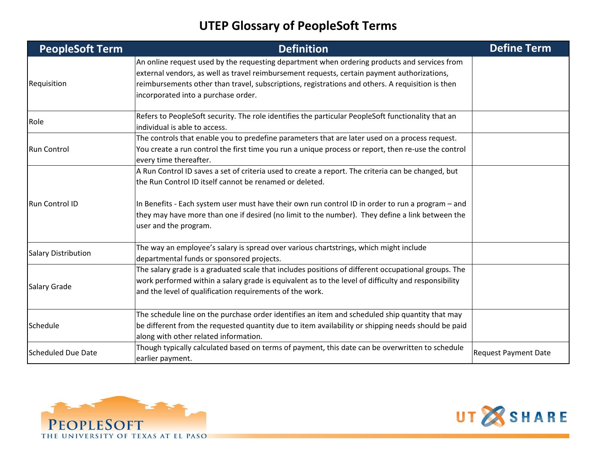| <b>PeopleSoft Term</b>     | <b>Definition</b>                                                                                                                                                                                                                                                                                                                           | <b>Define Term</b>          |
|----------------------------|---------------------------------------------------------------------------------------------------------------------------------------------------------------------------------------------------------------------------------------------------------------------------------------------------------------------------------------------|-----------------------------|
| Requisition                | An online request used by the requesting department when ordering products and services from<br>$ext{central vendors, as well as travel reimbursement requests, certain payment authorizations,$<br>reimbursements other than travel, subscriptions, registrations and others. A requisition is then<br>incorporated into a purchase order. |                             |
| Role                       | Refers to PeopleSoft security. The role identifies the particular PeopleSoft functionality that an<br>individual is able to access.                                                                                                                                                                                                         |                             |
| <b>Run Control</b>         | The controls that enable you to predefine parameters that are later used on a process request.<br>You create a run control the first time you run a unique process or report, then re-use the control<br>every time thereafter.                                                                                                             |                             |
| <b>Run Control ID</b>      | A Run Control ID saves a set of criteria used to create a report. The criteria can be changed, but<br>the Run Control ID itself cannot be renamed or deleted.                                                                                                                                                                               |                             |
|                            | In Benefits - Each system user must have their own run control ID in order to run a program – and<br>they may have more than one if desired (no limit to the number). They define a link between the<br>user and the program.                                                                                                               |                             |
| <b>Salary Distribution</b> | The way an employee's salary is spread over various chartstrings, which might include<br>departmental funds or sponsored projects.                                                                                                                                                                                                          |                             |
| <b>Salary Grade</b>        | The salary grade is a graduated scale that includes positions of different occupational groups. The<br>work performed within a salary grade is equivalent as to the level of difficulty and responsibility<br>and the level of qualification requirements of the work.                                                                      |                             |
| Schedule                   | The schedule line on the purchase order identifies an item and scheduled ship quantity that may<br>be different from the requested quantity due to item availability or shipping needs should be paid<br>along with other related information.                                                                                              |                             |
| <b>Scheduled Due Date</b>  | Though typically calculated based on terms of payment, this date can be overwritten to schedule<br>earlier payment.                                                                                                                                                                                                                         | <b>Request Payment Date</b> |



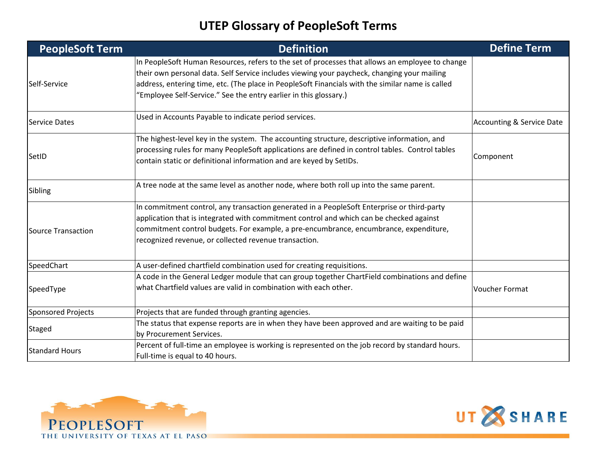| <b>PeopleSoft Term</b>    | <b>Definition</b>                                                                                                                                                                                                                                                                                                                                                       | <b>Define Term</b>                   |
|---------------------------|-------------------------------------------------------------------------------------------------------------------------------------------------------------------------------------------------------------------------------------------------------------------------------------------------------------------------------------------------------------------------|--------------------------------------|
| Self-Service              | In PeopleSoft Human Resources, refers to the set of processes that allows an employee to change<br>their own personal data. Self Service includes viewing your paycheck, changing your mailing<br>address, entering time, etc. (The place in PeopleSoft Financials with the similar name is called<br>"Employee Self-Service." See the entry earlier in this glossary.) |                                      |
| <b>Service Dates</b>      | Used in Accounts Payable to indicate period services.                                                                                                                                                                                                                                                                                                                   | <b>Accounting &amp; Service Date</b> |
| SetID                     | The highest-level key in the system. The accounting structure, descriptive information, and<br>processing rules for many PeopleSoft applications are defined in control tables. Control tables<br>contain static or definitional information and are keyed by SetIDs.                                                                                                   | Component                            |
| Sibling                   | A tree node at the same level as another node, where both roll up into the same parent.                                                                                                                                                                                                                                                                                 |                                      |
| Source Transaction        | In commitment control, any transaction generated in a PeopleSoft Enterprise or third-party<br>application that is integrated with commitment control and which can be checked against<br>commitment control budgets. For example, a pre-encumbrance, encumbrance, expenditure,<br>recognized revenue, or collected revenue transaction.                                 |                                      |
| SpeedChart                | A user-defined chartfield combination used for creating requisitions.                                                                                                                                                                                                                                                                                                   |                                      |
| SpeedType                 | A code in the General Ledger module that can group together ChartField combinations and define<br>what Chartfield values are valid in combination with each other.                                                                                                                                                                                                      | <b>Voucher Format</b>                |
| <b>Sponsored Projects</b> | Projects that are funded through granting agencies.                                                                                                                                                                                                                                                                                                                     |                                      |
| <b>Staged</b>             | The status that expense reports are in when they have been approved and are waiting to be paid<br>by Procurement Services.                                                                                                                                                                                                                                              |                                      |
| <b>Standard Hours</b>     | Percent of full-time an employee is working is represented on the job record by standard hours.<br>Full-time is equal to 40 hours.                                                                                                                                                                                                                                      |                                      |



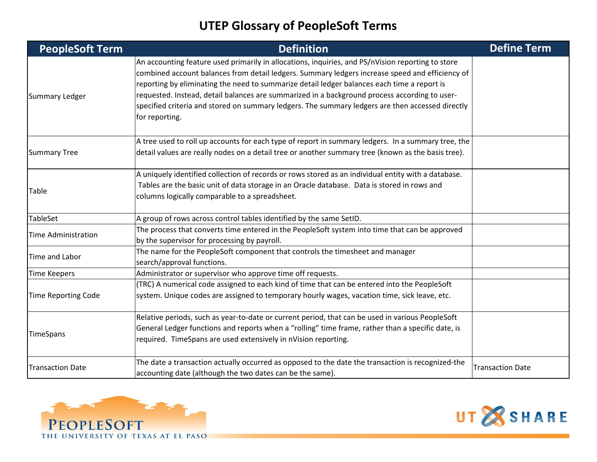| <b>PeopleSoft Term</b>     | <b>Definition</b>                                                                                                                                                                                                                                                                                                                                                                                                                                                                                                          | <b>Define Term</b>      |
|----------------------------|----------------------------------------------------------------------------------------------------------------------------------------------------------------------------------------------------------------------------------------------------------------------------------------------------------------------------------------------------------------------------------------------------------------------------------------------------------------------------------------------------------------------------|-------------------------|
| Summary Ledger             | An accounting feature used primarily in allocations, inquiries, and PS/nVision reporting to store<br>combined account balances from detail ledgers. Summary ledgers increase speed and efficiency of<br>reporting by eliminating the need to summarize detail ledger balances each time a report is<br>requested. Instead, detail balances are summarized in a background process according to user-<br>specified criteria and stored on summary ledgers. The summary ledgers are then accessed directly<br>for reporting. |                         |
| <b>Summary Tree</b>        | A tree used to roll up accounts for each type of report in summary ledgers. In a summary tree, the<br>detail values are really nodes on a detail tree or another summary tree (known as the basis tree).                                                                                                                                                                                                                                                                                                                   |                         |
| Table                      | A uniquely identified collection of records or rows stored as an individual entity with a database.<br>Tables are the basic unit of data storage in an Oracle database. Data is stored in rows and<br>columns logically comparable to a spreadsheet.                                                                                                                                                                                                                                                                       |                         |
| TableSet                   | A group of rows across control tables identified by the same SetID.                                                                                                                                                                                                                                                                                                                                                                                                                                                        |                         |
| <b>Time Administration</b> | The process that converts time entered in the PeopleSoft system into time that can be approved<br>by the supervisor for processing by payroll.                                                                                                                                                                                                                                                                                                                                                                             |                         |
| Time and Labor             | The name for the PeopleSoft component that controls the timesheet and manager<br>search/approval functions.                                                                                                                                                                                                                                                                                                                                                                                                                |                         |
| <b>Time Keepers</b>        | Administrator or supervisor who approve time off requests.                                                                                                                                                                                                                                                                                                                                                                                                                                                                 |                         |
| <b>Time Reporting Code</b> | (TRC) A numerical code assigned to each kind of time that can be entered into the PeopleSoft<br>system. Unique codes are assigned to temporary hourly wages, vacation time, sick leave, etc.                                                                                                                                                                                                                                                                                                                               |                         |
| TimeSpans                  | Relative periods, such as year-to-date or current period, that can be used in various PeopleSoft<br>General Ledger functions and reports when a "rolling" time frame, rather than a specific date, is<br>required. TimeSpans are used extensively in nVision reporting.                                                                                                                                                                                                                                                    |                         |
| <b>Transaction Date</b>    | The date a transaction actually occurred as opposed to the date the transaction is recognized-the<br>accounting date (although the two dates can be the same).                                                                                                                                                                                                                                                                                                                                                             | <b>Transaction Date</b> |



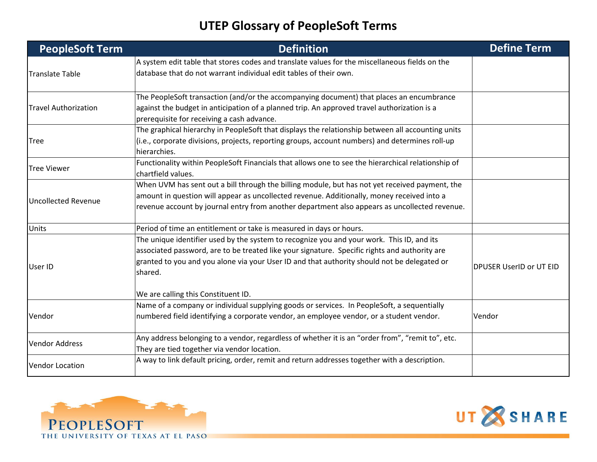| <b>PeopleSoft Term</b>      | <b>Definition</b>                                                                                                                                                                                                                                                                                                                           | <b>Define Term</b>             |
|-----------------------------|---------------------------------------------------------------------------------------------------------------------------------------------------------------------------------------------------------------------------------------------------------------------------------------------------------------------------------------------|--------------------------------|
| <b>Translate Table</b>      | A system edit table that stores codes and translate values for the miscellaneous fields on the<br>database that do not warrant individual edit tables of their own.                                                                                                                                                                         |                                |
| <b>Travel Authorization</b> | The PeopleSoft transaction (and/or the accompanying document) that places an encumbrance<br>against the budget in anticipation of a planned trip. An approved travel authorization is a<br>prerequisite for receiving a cash advance.                                                                                                       |                                |
| <b>Tree</b>                 | The graphical hierarchy in PeopleSoft that displays the relationship between all accounting units<br>(i.e., corporate divisions, projects, reporting groups, account numbers) and determines roll-up<br>hierarchies.                                                                                                                        |                                |
| <b>Tree Viewer</b>          | Functionality within PeopleSoft Financials that allows one to see the hierarchical relationship of<br>chartfield values.                                                                                                                                                                                                                    |                                |
| <b>Uncollected Revenue</b>  | When UVM has sent out a bill through the billing module, but has not yet received payment, the<br>amount in question will appear as uncollected revenue. Additionally, money received into a<br>revenue account by journal entry from another department also appears as uncollected revenue.                                               |                                |
| Units                       | Period of time an entitlement or take is measured in days or hours.                                                                                                                                                                                                                                                                         |                                |
| User ID                     | The unique identifier used by the system to recognize you and your work. This ID, and its<br>associated password, are to be treated like your signature. Specific rights and authority are<br>granted to you and you alone via your User ID and that authority should not be delegated or<br>shared.<br>We are calling this Constituent ID. | <b>DPUSER UserID or UT EID</b> |
| Vendor                      | Name of a company or individual supplying goods or services. In PeopleSoft, a sequentially<br>numbered field identifying a corporate vendor, an employee vendor, or a student vendor.                                                                                                                                                       | Vendor                         |
| <b>Vendor Address</b>       | Any address belonging to a vendor, regardless of whether it is an "order from", "remit to", etc.<br>They are tied together via vendor location.                                                                                                                                                                                             |                                |
| <b>Vendor Location</b>      | A way to link default pricing, order, remit and return addresses together with a description.                                                                                                                                                                                                                                               |                                |